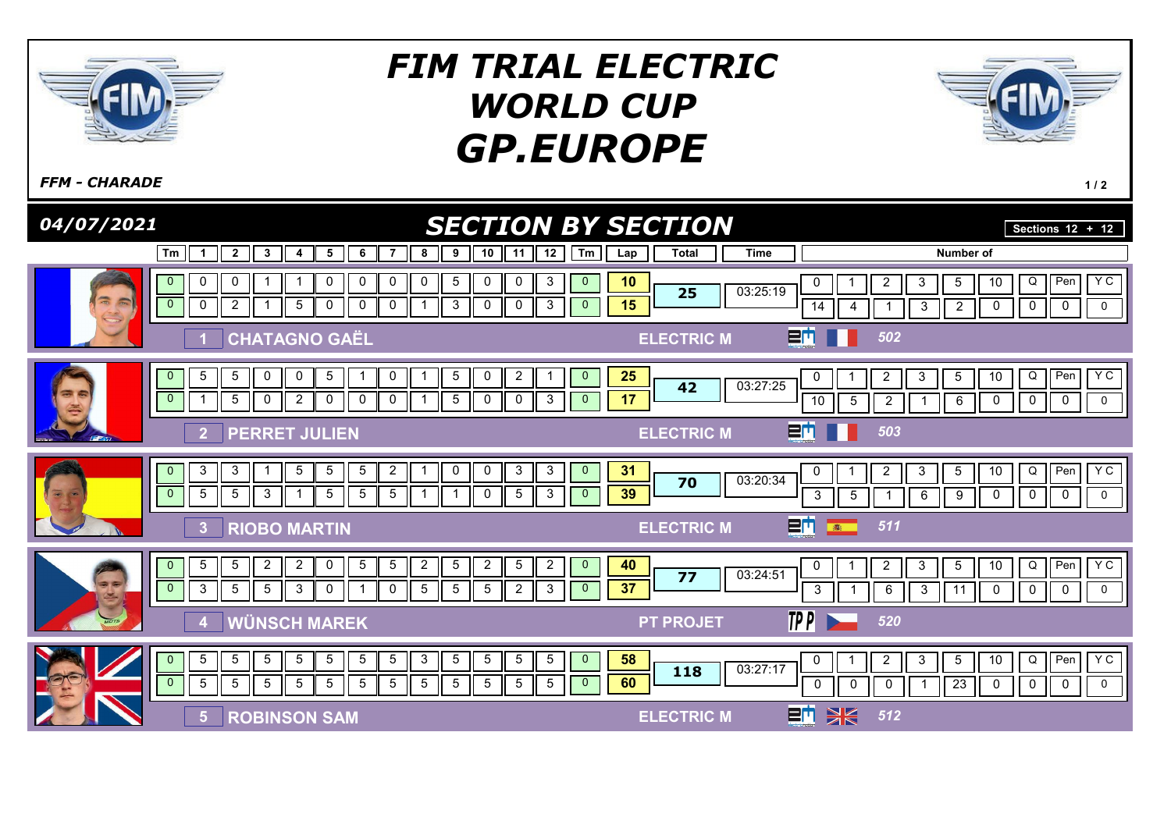